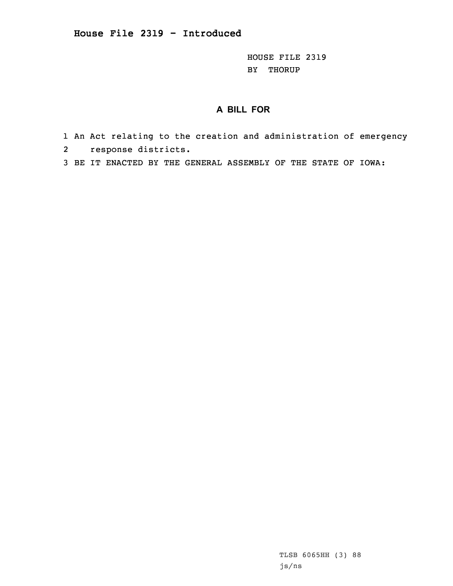HOUSE FILE 2319 BY THORUP

## **A BILL FOR**

- 1 An Act relating to the creation and administration of emergency 2 response districts.
- 3 BE IT ENACTED BY THE GENERAL ASSEMBLY OF THE STATE OF IOWA:

TLSB 6065HH (3) 88 js/ns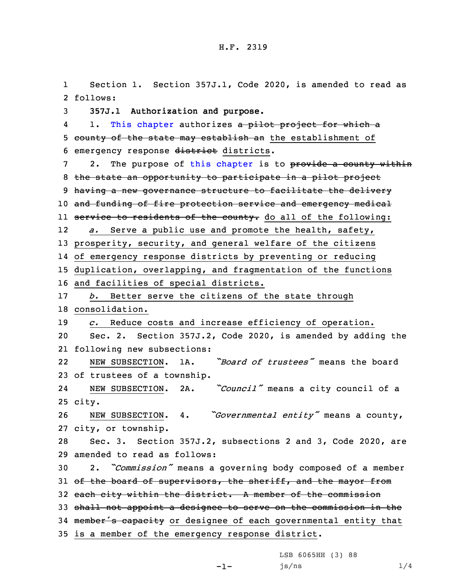1 Section 1. Section 357J.1, Code 2020, is amended to read as 2 follows:

3 **357J.1 Authorization and purpose.**

41. This [chapter](https://www.legis.iowa.gov/docs/code/2020/357J.pdf) authorizes a pilot project for which a 5 county of the state may establish an the establishment of 6 emergency response district districts.

7 2. The purpose of this [chapter](https://www.legis.iowa.gov/docs/code/2020/357J.pdf) is to provide a county within 8 the state an opportunity to participate in <sup>a</sup> pilot project 9 having a new governance structure to facilitate the delivery 10 and funding of fire protection service and emergency medical ll <del>service to residents of the county.</del> do all of the following: 12 *a.* Serve <sup>a</sup> public use and promote the health, safety, 13 prosperity, security, and general welfare of the citizens 14 of emergency response districts by preventing or reducing

15 duplication, overlapping, and fragmentation of the functions

16 and facilities of special districts.

 *b.* Better serve the citizens of the state through consolidation. *c.* Reduce costs and increase efficiency of operation. Sec. 2. Section 357J.2, Code 2020, is amended by adding the

21 following new subsections:

22 NEW SUBSECTION. 1A. *"Board of trustees"* means the board 23 of trustees of <sup>a</sup> township.

24 NEW SUBSECTION. 2A. *"Council"* means <sup>a</sup> city council of <sup>a</sup> 25 city.

<sup>26</sup> NEW SUBSECTION. 4. *"Governmental entity"* means <sup>a</sup> county, 27 city, or township.

28 Sec. 3. Section 357J.2, subsections 2 and 3, Code 2020, are 29 amended to read as follows:

<sup>30</sup> 2. *"Commission"* means <sup>a</sup> governing body composed of <sup>a</sup> member 31 of the board of supervisors, the sheriff, and the mayor from 32 each city within the district. A member of the commission

33 shall not appoint <sup>a</sup> designee to serve on the commission in the

34 member's capacity or designee of each governmental entity that

35 is <sup>a</sup> member of the emergency response district.

LSB 6065HH (3) 88

 $js/ns$   $1/4$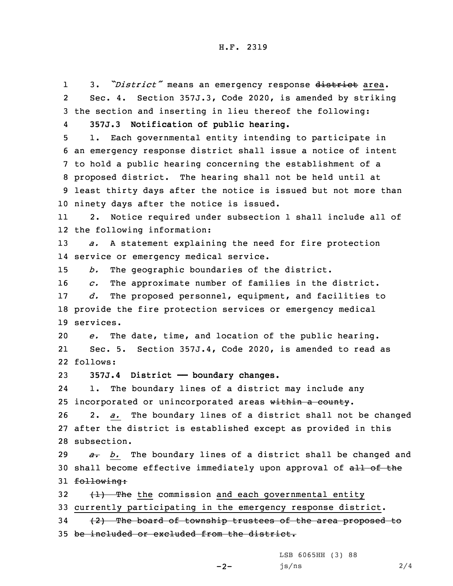1 3. *"District"* means an emergency response district area. 2 Sec. 4. Section 357J.3, Code 2020, is amended by striking 3 the section and inserting in lieu thereof the following: 4 **357J.3 Notification of public hearing.** 5 1. Each governmental entity intending to participate in 6 an emergency response district shall issue <sup>a</sup> notice of intent 7 to hold <sup>a</sup> public hearing concerning the establishment of <sup>a</sup> 8 proposed district. The hearing shall not be held until at 9 least thirty days after the notice is issued but not more than 10 ninety days after the notice is issued. 11 2. Notice required under subsection 1 shall include all of 12 the following information: 13 *a.* <sup>A</sup> statement explaining the need for fire protection 14 service or emergency medical service. 15 *b.* The geographic boundaries of the district. 16 *c.* The approximate number of families in the district. 17 *d.* The proposed personnel, equipment, and facilities to 18 provide the fire protection services or emergency medical 19 services. 20 *e.* The date, time, and location of the public hearing. 21 Sec. 5. Section 357J.4, Code 2020, is amended to read as 22 follows: 23 **357J.4 District —— boundary changes.** 24 1. The boundary lines of <sup>a</sup> district may include any 25 incorporated or unincorporated areas within a county. 26 2. *a.* The boundary lines of <sup>a</sup> district shall not be changed 27 after the district is established except as provided in this 28 subsection. 29 *a. b.* The boundary lines of <sup>a</sup> district shall be changed and 30 shall become effective immediately upon approval of all of the 31 following: 32  $(1)$  The the commission and each governmental entity 33 currently participating in the emergency response district. 34 (2) The board of township trustees of the area proposed to 35 be included or excluded from the district.

LSB 6065HH (3) 88

```
-2-
```
js/ns 2/4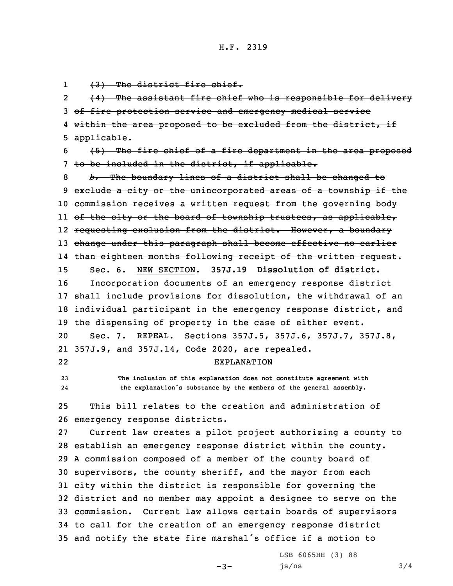1(3) The district fire chief.

2 (4) The assistant fire chief who is responsible for delivery 3 of fire protection service and emergency medical service 4 within the area proposed to be excluded from the district, if 5 applicable.

6 (5) The fire chief of <sup>a</sup> fire department in the area proposed 7 to be included in the district, if applicable.

 *b.* The boundary lines of <sup>a</sup> district shall be changed to 9 exclude a city or the unincorporated areas of a township if the commission receives <sup>a</sup> written request from the governing body ll <del>of the city or the board of township trustees, as applicable,</del> 12 <del>requesting exclusion from the district. However, a boundary</del> change under this paragraph shall become effective no earlier than eighteen months following receipt of the written request. Sec. 6. NEW SECTION. **357J.19 Dissolution of district.** Incorporation documents of an emergency response district shall include provisions for dissolution, the withdrawal of an individual participant in the emergency response district, and the dispensing of property in the case of either event. Sec. 7. REPEAL. Sections 357J.5, 357J.6, 357J.7, 357J.8, 357J.9, and 357J.14, Code 2020, are repealed. 22EXPLANATION

23 **The inclusion of this explanation does not constitute agreement with** 24**the explanation's substance by the members of the general assembly.**

25 This bill relates to the creation and administration of 26 emergency response districts.

 Current law creates <sup>a</sup> pilot project authorizing <sup>a</sup> county to establish an emergency response district within the county. <sup>A</sup> commission composed of <sup>a</sup> member of the county board of supervisors, the county sheriff, and the mayor from each city within the district is responsible for governing the district and no member may appoint <sup>a</sup> designee to serve on the commission. Current law allows certain boards of supervisors to call for the creation of an emergency response district and notify the state fire marshal's office if <sup>a</sup> motion to

 $-3-$ 

LSB 6065HH (3) 88  $js/ns$  3/4